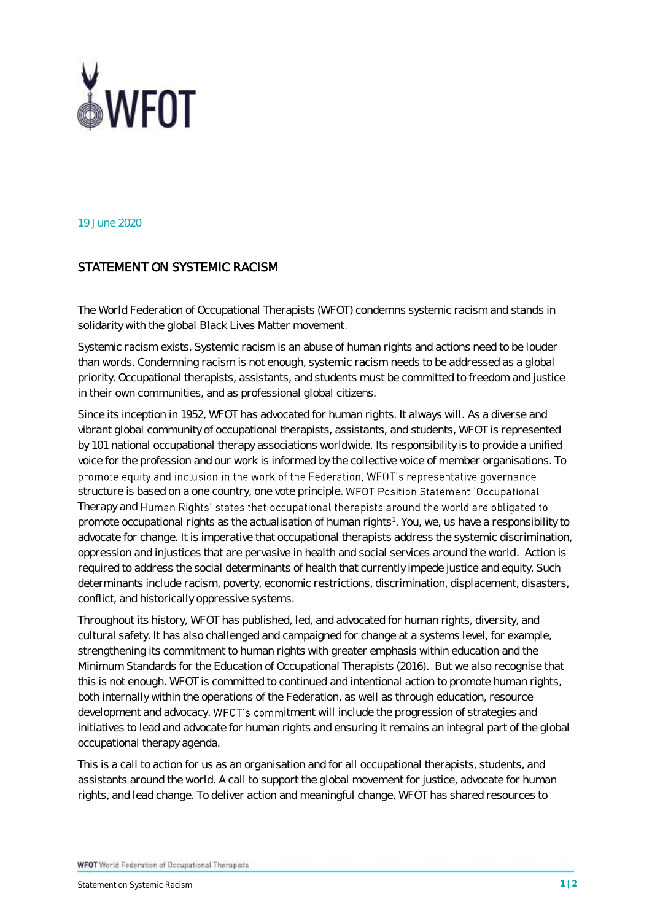

19 June 2020

## STATEMENT ON SYSTEMIC RACISM

The World Federation of Occupational Therapists (WFOT) condemns systemic racism and stands in solidarity with the global Black Lives Matter movement.

Systemic racism exists. Systemic racism is an abuse of human rights and actions need to be louder than words. Condemning racism is not enough, systemic racism needs to be addressed as a global priority. Occupational therapists, assistants, and students must be committed to freedom and justice in their own communities, and as professional global citizens.

Since its inception in 1952, WFOT has advocated for human rights. It always will. As a diverse and vibrant global community of occupational therapists, assistants, and students, WFOT is represented by 101 national occupational therapy associations worldwide. Its responsibility is to provide a unified voice for the profession and our work is informed by the collective voice of member organisations. To promote equity and inclusion in the work of the Federation, WFOT's representative governance structure is based on a one country, one vote principle. WFOT Position Statement 'Occupational Therapy and Human Rights' states that occupational therapists around the world are obligated to promote occupational rights as the actualisation of human rights<sup>1</sup>. You, we, us have a responsibility to advocate for change. It is imperative that occupational therapists address the systemic discrimination, oppression and injustices that are pervasive in health and social services around the world. Action is required to address the social determinants of health that currently impede justice and equity. Such determinants include racism, poverty, economic restrictions, discrimination, displacement, disasters, conflict, and historically oppressive systems.

Throughout its history, WFOT has published, led, and advocated for human rights, diversity, and cultural safety. It has also challenged and campaigned for change at a systems level, for example, strengthening its commitment to human rights with greater emphasis within education and the Minimum Standards for the Education of Occupational Therapists (2016). But we also recognise that this is not enough. WFOT is committed to continued and intentional action to promote human rights, both internally within the operations of the Federation, as well as through education, resource development and advocacy. WFOT's commitment will include the progression of strategies and initiatives to lead and advocate for human rights and ensuring it remains an integral part of the global occupational therapy agenda.

This is a call to action for us as an organisation and for all occupational therapists, students, and assistants around the world. A call to support the global movement for justice, advocate for human rights, and lead change. To deliver action and meaningful change, WFOT has shared resources to